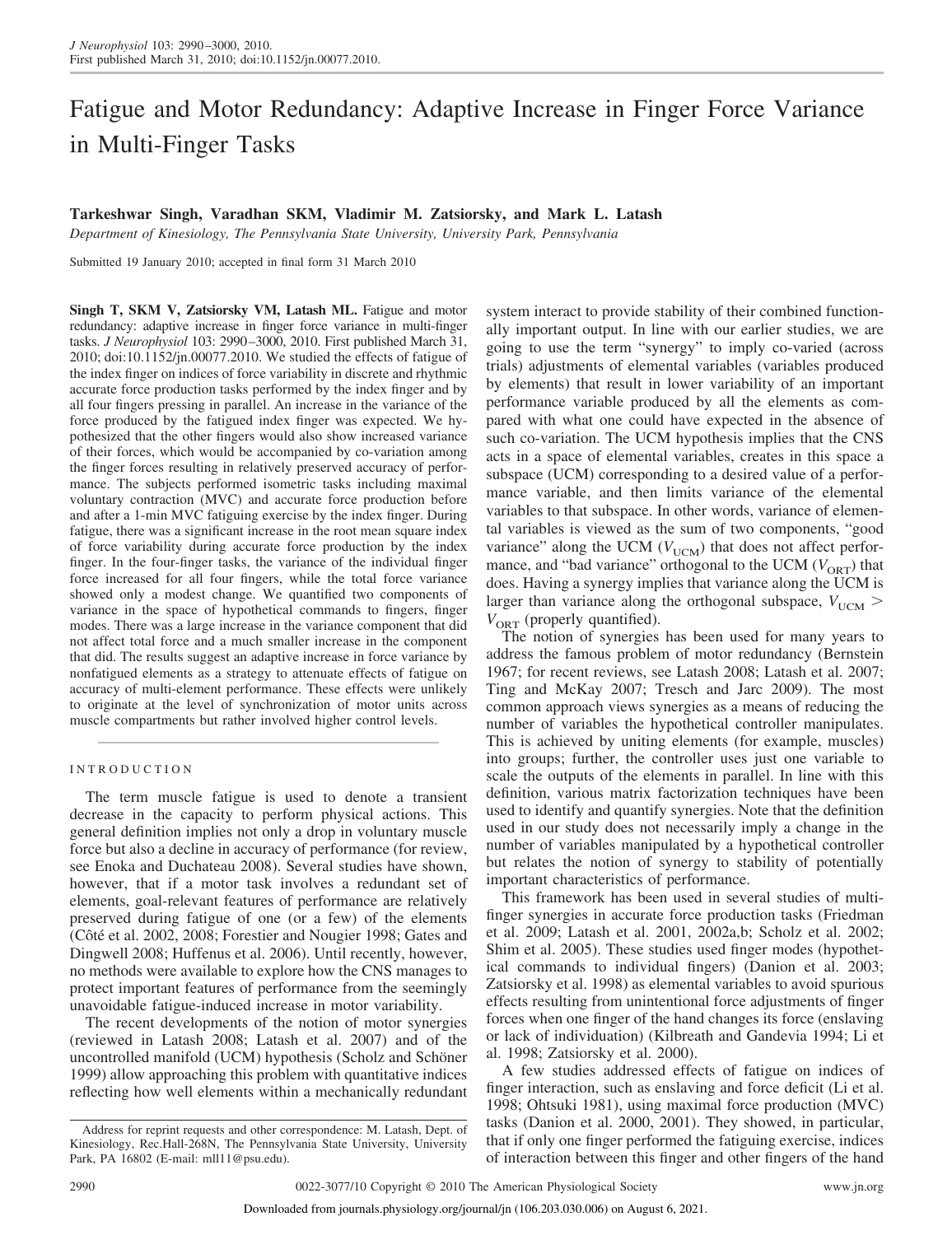# Fatigue and Motor Redundancy: Adaptive Increase in Finger Force Variance in Multi-Finger Tasks

# **Tarkeshwar Singh, Varadhan SKM, Vladimir M. Zatsiorsky, and Mark L. Latash**

*Department of Kinesiology, The Pennsylvania State University, University Park, Pennsylvania*

Submitted 19 January 2010; accepted in final form 31 March 2010

**Singh T, SKM V, Zatsiorsky VM, Latash ML.** Fatigue and motor redundancy: adaptive increase in finger force variance in multi-finger tasks. *J Neurophysiol* 103: 2990–3000, 2010. First published March 31, 2010; doi:10.1152/jn.00077.2010. We studied the effects of fatigue of the index finger on indices of force variability in discrete and rhythmic accurate force production tasks performed by the index finger and by all four fingers pressing in parallel. An increase in the variance of the force produced by the fatigued index finger was expected. We hypothesized that the other fingers would also show increased variance of their forces, which would be accompanied by co-variation among the finger forces resulting in relatively preserved accuracy of performance. The subjects performed isometric tasks including maximal voluntary contraction (MVC) and accurate force production before and after a 1-min MVC fatiguing exercise by the index finger. During fatigue, there was a significant increase in the root mean square index of force variability during accurate force production by the index finger. In the four-finger tasks, the variance of the individual finger force increased for all four fingers, while the total force variance showed only a modest change. We quantified two components of variance in the space of hypothetical commands to fingers, finger modes. There was a large increase in the variance component that did not affect total force and a much smaller increase in the component that did. The results suggest an adaptive increase in force variance by nonfatigued elements as a strategy to attenuate effects of fatigue on accuracy of multi-element performance. These effects were unlikely to originate at the level of synchronization of motor units across muscle compartments but rather involved higher control levels.

# INTRODUCTION

The term muscle fatigue is used to denote a transient decrease in the capacity to perform physical actions. This general definition implies not only a drop in voluntary muscle force but also a decline in accuracy of performance (for review, see Enoka and Duchateau 2008). Several studies have shown, however, that if a motor task involves a redundant set of elements, goal-relevant features of performance are relatively preserved during fatigue of one (or a few) of the elements (Côté et al. 2002, 2008; Forestier and Nougier 1998; Gates and Dingwell 2008; Huffenus et al. 2006). Until recently, however, no methods were available to explore how the CNS manages to protect important features of performance from the seemingly unavoidable fatigue-induced increase in motor variability.

The recent developments of the notion of motor synergies (reviewed in Latash 2008; Latash et al. 2007) and of the uncontrolled manifold (UCM) hypothesis (Scholz and Schöner 1999) allow approaching this problem with quantitative indices reflecting how well elements within a mechanically redundant system interact to provide stability of their combined functionally important output. In line with our earlier studies, we are going to use the term "synergy" to imply co-varied (across trials) adjustments of elemental variables (variables produced by elements) that result in lower variability of an important performance variable produced by all the elements as compared with what one could have expected in the absence of such co-variation. The UCM hypothesis implies that the CNS acts in a space of elemental variables, creates in this space a subspace (UCM) corresponding to a desired value of a performance variable, and then limits variance of the elemental variables to that subspace. In other words, variance of elemental variables is viewed as the sum of two components, "good variance" along the UCM  $(V_{UCM})$  that does not affect performance, and "bad variance" orthogonal to the UCM  $(V_{\text{ORT}})$  that does. Having a synergy implies that variance along the UCM is larger than variance along the orthogonal subspace,  $V_{\text{UCM}}$  >  $V_{\text{ORT}}$  (properly quantified).

The notion of synergies has been used for many years to address the famous problem of motor redundancy (Bernstein 1967; for recent reviews, see Latash 2008; Latash et al. 2007; Ting and McKay 2007; Tresch and Jarc 2009). The most common approach views synergies as a means of reducing the number of variables the hypothetical controller manipulates. This is achieved by uniting elements (for example, muscles) into groups; further, the controller uses just one variable to scale the outputs of the elements in parallel. In line with this definition, various matrix factorization techniques have been used to identify and quantify synergies. Note that the definition used in our study does not necessarily imply a change in the number of variables manipulated by a hypothetical controller but relates the notion of synergy to stability of potentially important characteristics of performance.

This framework has been used in several studies of multifinger synergies in accurate force production tasks (Friedman et al. 2009; Latash et al. 2001, 2002a,b; Scholz et al. 2002; Shim et al. 2005). These studies used finger modes (hypothetical commands to individual fingers) (Danion et al. 2003; Zatsiorsky et al. 1998) as elemental variables to avoid spurious effects resulting from unintentional force adjustments of finger forces when one finger of the hand changes its force (enslaving or lack of individuation) (Kilbreath and Gandevia 1994; Li et al. 1998; Zatsiorsky et al. 2000).

A few studies addressed effects of fatigue on indices of finger interaction, such as enslaving and force deficit (Li et al. 1998; Ohtsuki 1981), using maximal force production (MVC) tasks (Danion et al. 2000, 2001). They showed, in particular, that if only one finger performed the fatiguing exercise, indices of interaction between this finger and other fingers of the hand

Address for reprint requests and other correspondence: M. Latash, Dept. of Kinesiology, Rec.Hall-268N, The Pennsylvania State University, University Park, PA 16802 (E-mail: mll11@psu.edu).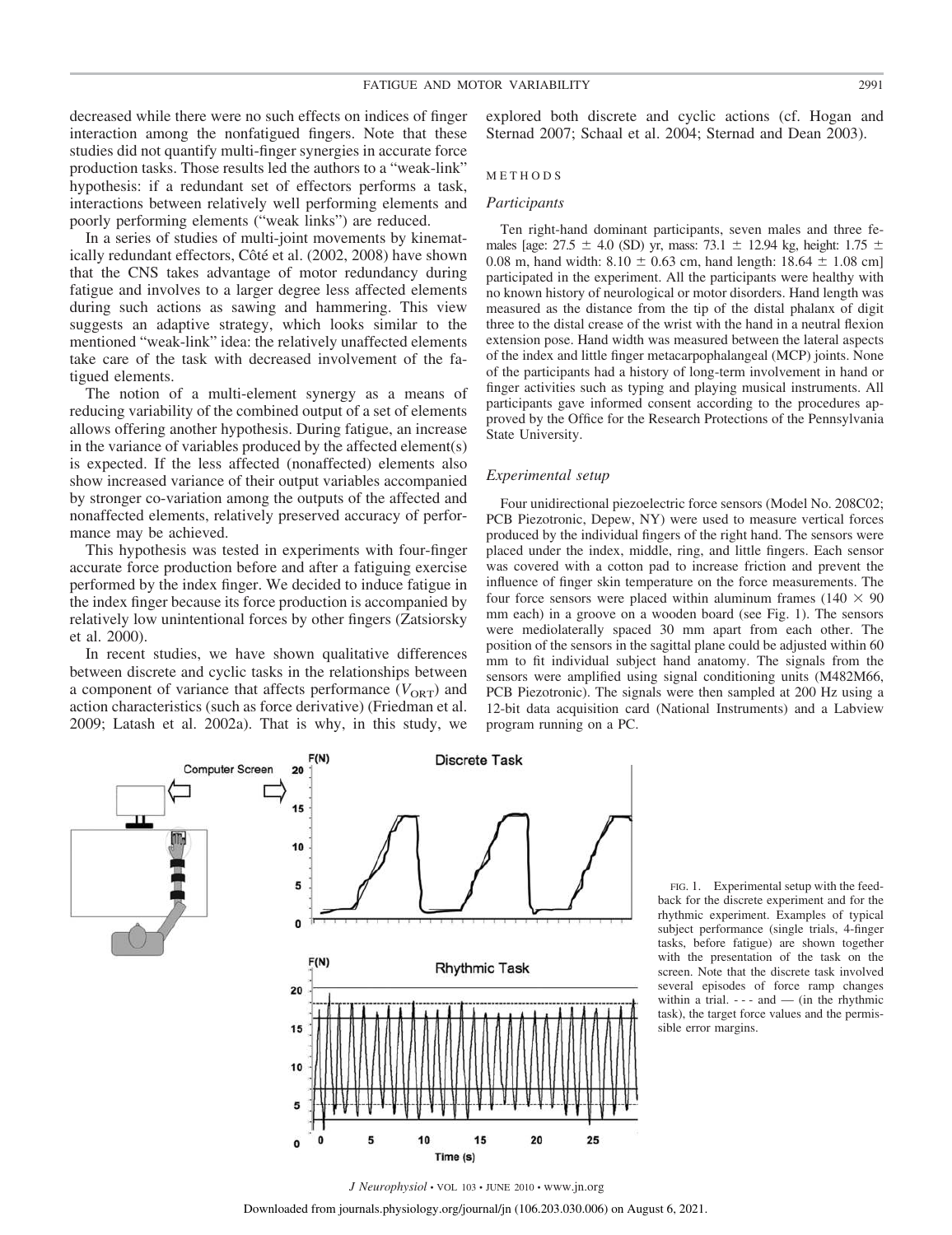decreased while there were no such effects on indices of finger interaction among the nonfatigued fingers. Note that these studies did not quantify multi-finger synergies in accurate force production tasks. Those results led the authors to a "weak-link" hypothesis: if a redundant set of effectors performs a task, interactions between relatively well performing elements and poorly performing elements ("weak links") are reduced.

In a series of studies of multi-joint movements by kinematically redundant effectors, Côté et al. (2002, 2008) have shown that the CNS takes advantage of motor redundancy during fatigue and involves to a larger degree less affected elements during such actions as sawing and hammering. This view suggests an adaptive strategy, which looks similar to the mentioned "weak-link" idea: the relatively unaffected elements take care of the task with decreased involvement of the fatigued elements.

The notion of a multi-element synergy as a means of reducing variability of the combined output of a set of elements allows offering another hypothesis. During fatigue, an increase in the variance of variables produced by the affected element(s) is expected. If the less affected (nonaffected) elements also show increased variance of their output variables accompanied by stronger co-variation among the outputs of the affected and nonaffected elements, relatively preserved accuracy of performance may be achieved.

This hypothesis was tested in experiments with four-finger accurate force production before and after a fatiguing exercise performed by the index finger. We decided to induce fatigue in the index finger because its force production is accompanied by relatively low unintentional forces by other fingers (Zatsiorsky et al. 2000).

In recent studies, we have shown qualitative differences between discrete and cyclic tasks in the relationships between a component of variance that affects performance  $(V_{\text{ORT}})$  and action characteristics (such as force derivative) (Friedman et al. 2009; Latash et al. 2002a). That is why, in this study, we explored both discrete and cyclic actions (cf. Hogan and Sternad 2007; Schaal et al. 2004; Sternad and Dean 2003).

## METHODS

## *Participants*

Ten right-hand dominant participants, seven males and three females [age:  $27.5 \pm 4.0$  (SD) yr, mass:  $73.1 \pm 12.94$  kg, height:  $1.75 \pm 1.75$ 0.08 m, hand width:  $8.10 \pm 0.63$  cm, hand length:  $18.64 \pm 1.08$  cm] participated in the experiment. All the participants were healthy with no known history of neurological or motor disorders. Hand length was measured as the distance from the tip of the distal phalanx of digit three to the distal crease of the wrist with the hand in a neutral flexion extension pose. Hand width was measured between the lateral aspects of the index and little finger metacarpophalangeal (MCP) joints. None of the participants had a history of long-term involvement in hand or finger activities such as typing and playing musical instruments. All participants gave informed consent according to the procedures approved by the Office for the Research Protections of the Pennsylvania State University.

# *Experimental setup*

Four unidirectional piezoelectric force sensors (Model No. 208C02; PCB Piezotronic, Depew, NY) were used to measure vertical forces produced by the individual fingers of the right hand. The sensors were placed under the index, middle, ring, and little fingers. Each sensor was covered with a cotton pad to increase friction and prevent the influence of finger skin temperature on the force measurements. The four force sensors were placed within aluminum frames ( $140 \times 90$ ) mm each) in a groove on a wooden board (see Fig. 1). The sensors were mediolaterally spaced 30 mm apart from each other. The position of the sensors in the sagittal plane could be adjusted within 60 mm to fit individual subject hand anatomy. The signals from the sensors were amplified using signal conditioning units (M482M66, PCB Piezotronic). The signals were then sampled at 200 Hz using a 12-bit data acquisition card (National Instruments) and a Labview program running on a PC.



FIG. 1. Experimental setup with the feedback for the discrete experiment and for the rhythmic experiment. Examples of typical subject performance (single trials, 4-finger tasks, before fatigue) are shown together with the presentation of the task on the screen. Note that the discrete task involved several episodes of force ramp changes within a trial.  $---$  and  $---$  (in the rhythmic task), the target force values and the permissible error margins.

*J Neurophysiol* • VOL 103 • JUNE 2010 • www.jn.org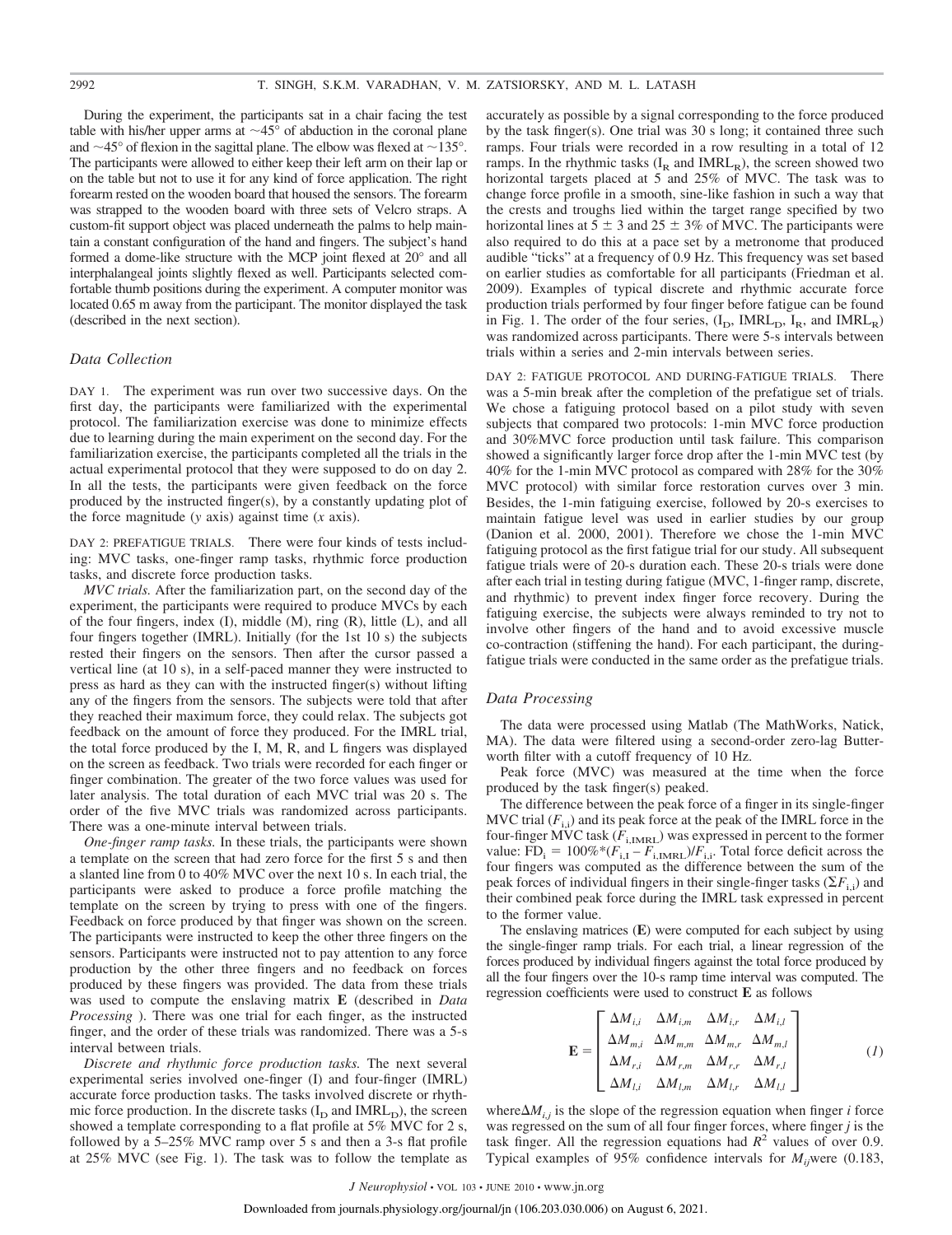During the experiment, the participants sat in a chair facing the test table with his/her upper arms at  $\sim$ 45 $\degree$  of abduction in the coronal plane and  $\sim$ 45° of flexion in the sagittal plane. The elbow was flexed at  $\sim$ 135°. The participants were allowed to either keep their left arm on their lap or on the table but not to use it for any kind of force application. The right forearm rested on the wooden board that housed the sensors. The forearm was strapped to the wooden board with three sets of Velcro straps. A custom-fit support object was placed underneath the palms to help maintain a constant configuration of the hand and fingers. The subject's hand formed a dome-like structure with the MCP joint flexed at 20° and all interphalangeal joints slightly flexed as well. Participants selected comfortable thumb positions during the experiment. A computer monitor was located 0.65 m away from the participant. The monitor displayed the task (described in the next section).

## *Data Collection*

DAY 1. The experiment was run over two successive days. On the first day, the participants were familiarized with the experimental protocol. The familiarization exercise was done to minimize effects due to learning during the main experiment on the second day. For the familiarization exercise, the participants completed all the trials in the actual experimental protocol that they were supposed to do on day 2. In all the tests, the participants were given feedback on the force produced by the instructed finger(s), by a constantly updating plot of the force magnitude (*y* axis) against time (*x* axis).

DAY 2: PREFATIGUE TRIALS. There were four kinds of tests including: MVC tasks, one-finger ramp tasks, rhythmic force production tasks, and discrete force production tasks.

*MVC trials.* After the familiarization part, on the second day of the experiment, the participants were required to produce MVCs by each of the four fingers, index (I), middle (M), ring (R), little (L), and all four fingers together (IMRL). Initially (for the 1st 10 s) the subjects rested their fingers on the sensors. Then after the cursor passed a vertical line (at 10 s), in a self-paced manner they were instructed to press as hard as they can with the instructed finger(s) without lifting any of the fingers from the sensors. The subjects were told that after they reached their maximum force, they could relax. The subjects got feedback on the amount of force they produced. For the IMRL trial, the total force produced by the I, M, R, and L fingers was displayed on the screen as feedback. Two trials were recorded for each finger or finger combination. The greater of the two force values was used for later analysis. The total duration of each MVC trial was 20 s. The order of the five MVC trials was randomized across participants. There was a one-minute interval between trials.

*One-finger ramp tasks.* In these trials, the participants were shown a template on the screen that had zero force for the first 5 s and then a slanted line from 0 to 40% MVC over the next 10 s. In each trial, the participants were asked to produce a force profile matching the template on the screen by trying to press with one of the fingers. Feedback on force produced by that finger was shown on the screen. The participants were instructed to keep the other three fingers on the sensors. Participants were instructed not to pay attention to any force production by the other three fingers and no feedback on forces produced by these fingers was provided. The data from these trials was used to compute the enslaving matrix **E** (described in *Data Processing* ). There was one trial for each finger, as the instructed finger, and the order of these trials was randomized. There was a 5-s interval between trials.

*Discrete and rhythmic force production tasks.* The next several experimental series involved one-finger (I) and four-finger (IMRL) accurate force production tasks. The tasks involved discrete or rhythmic force production. In the discrete tasks  $(I_D \text{ and IMRL}_D)$ , the screen showed a template corresponding to a flat profile at 5% MVC for 2 s, followed by a 5–25% MVC ramp over 5 s and then a 3-s flat profile at 25% MVC (see Fig. 1). The task was to follow the template as accurately as possible by a signal corresponding to the force produced by the task finger(s). One trial was 30 s long; it contained three such ramps. Four trials were recorded in a row resulting in a total of 12 ramps. In the rhythmic tasks  $(I_R \text{ and } IMRL_R)$ , the screen showed two horizontal targets placed at 5 and 25% of MVC. The task was to change force profile in a smooth, sine-like fashion in such a way that the crests and troughs lied within the target range specified by two horizontal lines at  $5 \pm 3$  and  $25 \pm 3\%$  of MVC. The participants were also required to do this at a pace set by a metronome that produced audible "ticks" at a frequency of 0.9 Hz. This frequency was set based on earlier studies as comfortable for all participants (Friedman et al. 2009). Examples of typical discrete and rhythmic accurate force production trials performed by four finger before fatigue can be found in Fig. 1. The order of the four series,  $(I_D, IMRL_D, I_R,$  and  $IMRL_R)$ was randomized across participants. There were 5-s intervals between trials within a series and 2-min intervals between series.

DAY 2: FATIGUE PROTOCOL AND DURING-FATIGUE TRIALS. There was a 5-min break after the completion of the prefatigue set of trials. We chose a fatiguing protocol based on a pilot study with seven subjects that compared two protocols: 1-min MVC force production and 30%MVC force production until task failure. This comparison showed a significantly larger force drop after the 1-min MVC test (by 40% for the 1-min MVC protocol as compared with 28% for the 30% MVC protocol) with similar force restoration curves over 3 min. Besides, the 1-min fatiguing exercise, followed by 20-s exercises to maintain fatigue level was used in earlier studies by our group (Danion et al. 2000, 2001). Therefore we chose the 1-min MVC fatiguing protocol as the first fatigue trial for our study. All subsequent fatigue trials were of 20-s duration each. These 20-s trials were done after each trial in testing during fatigue (MVC, 1-finger ramp, discrete, and rhythmic) to prevent index finger force recovery. During the fatiguing exercise, the subjects were always reminded to try not to involve other fingers of the hand and to avoid excessive muscle co-contraction (stiffening the hand). For each participant, the duringfatigue trials were conducted in the same order as the prefatigue trials.

## *Data Processing*

The data were processed using Matlab (The MathWorks, Natick, MA). The data were filtered using a second-order zero-lag Butterworth filter with a cutoff frequency of 10 Hz.

Peak force (MVC) was measured at the time when the force produced by the task finger(s) peaked.

The difference between the peak force of a finger in its single-finger MVC trial  $(F_{i,j})$  and its peak force at the peak of the IMRL force in the four-finger MVC task ( $F_{i,IMRL}$ ) was expressed in percent to the former value:  $FD_i = 100\%*(F_{i,I} - F_{i,IMRL})/F_{i,i}$ . Total force deficit across the four fingers was computed as the difference between the sum of the peak forces of individual fingers in their single-finger tasks  $(\Sigma F_{i,j})$  and their combined peak force during the IMRL task expressed in percent to the former value.

The enslaving matrices (**E**) were computed for each subject by using the single-finger ramp trials. For each trial, a linear regression of the forces produced by individual fingers against the total force produced by all the four fingers over the 10-s ramp time interval was computed. The regression coefficients were used to construct **E** as follows

$$
\mathbf{E} = \begin{bmatrix} \Delta M_{i,i} & \Delta M_{i,m} & \Delta M_{i,r} & \Delta M_{i,l} \\ \Delta M_{m,i} & \Delta M_{m,m} & \Delta M_{m,r} & \Delta M_{m,l} \\ \Delta M_{r,i} & \Delta M_{r,m} & \Delta M_{r,r} & \Delta M_{r,l} \\ \Delta M_{l,i} & \Delta M_{l,m} & \Delta M_{l,r} & \Delta M_{l,l} \end{bmatrix}
$$
 (1)

where $\Delta M_i$ , is the slope of the regression equation when finger *i* force was regressed on the sum of all four finger forces, where finger *j* is the task finger. All the regression equations had  $R^2$  values of over 0.9. Typical examples of 95% confidence intervals for *Mij*were (0.183,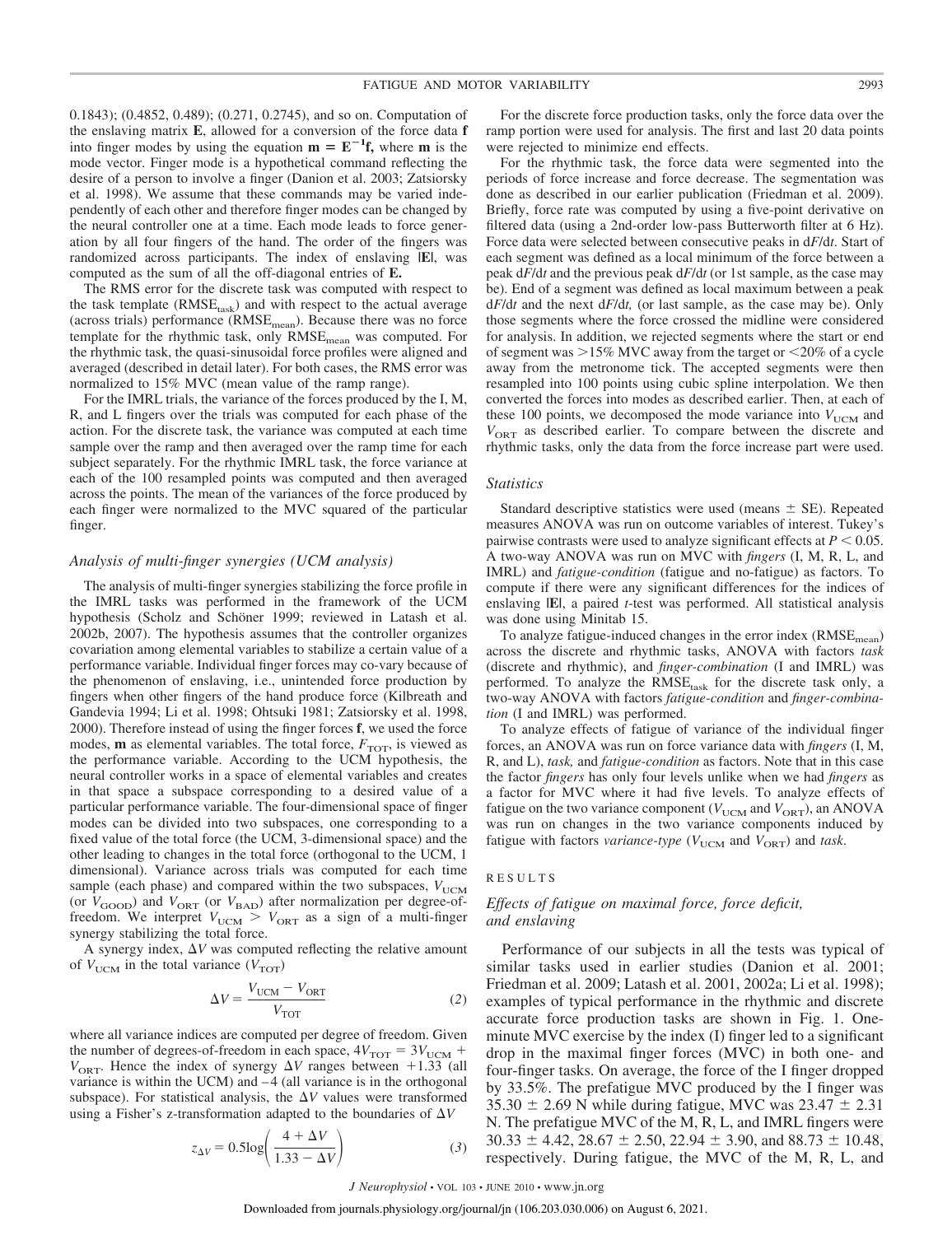0.1843); (0.4852, 0.489); (0.271, 0.2745), and so on. Computation of the enslaving matrix **E**, allowed for a conversion of the force data **f** into finger modes by using the equation  $\mathbf{m} = \mathbf{E}^{-1} \mathbf{f}$ , where **m** is the mode vector. Finger mode is a hypothetical command reflecting the desire of a person to involve a finger (Danion et al. 2003; Zatsiorsky et al. 1998). We assume that these commands may be varied independently of each other and therefore finger modes can be changed by the neural controller one at a time. Each mode leads to force generation by all four fingers of the hand. The order of the fingers was randomized across participants. The index of enslaving **|E|**, was computed as the sum of all the off-diagonal entries of **E.**

The RMS error for the discrete task was computed with respect to the task template (RMSE<sub>task</sub>) and with respect to the actual average (across trials) performance ( $RMSE$ <sub>mean</sub>). Because there was no force template for the rhythmic task, only RMSE<sub>mean</sub> was computed. For the rhythmic task, the quasi-sinusoidal force profiles were aligned and averaged (described in detail later). For both cases, the RMS error was normalized to 15% MVC (mean value of the ramp range).

For the IMRL trials, the variance of the forces produced by the I, M, R, and L fingers over the trials was computed for each phase of the action. For the discrete task, the variance was computed at each time sample over the ramp and then averaged over the ramp time for each subject separately. For the rhythmic IMRL task, the force variance at each of the 100 resampled points was computed and then averaged across the points. The mean of the variances of the force produced by each finger were normalized to the MVC squared of the particular finger.

# *Analysis of multi-finger synergies (UCM analysis)*

The analysis of multi-finger synergies stabilizing the force profile in the IMRL tasks was performed in the framework of the UCM hypothesis (Scholz and Schöner 1999; reviewed in Latash et al. 2002b, 2007). The hypothesis assumes that the controller organizes covariation among elemental variables to stabilize a certain value of a performance variable. Individual finger forces may co-vary because of the phenomenon of enslaving, i.e., unintended force production by fingers when other fingers of the hand produce force (Kilbreath and Gandevia 1994; Li et al. 1998; Ohtsuki 1981; Zatsiorsky et al. 1998, 2000). Therefore instead of using the finger forces **f**, we used the force modes, **m** as elemental variables. The total force,  $F_{\text{TOT}}$ , is viewed as the performance variable. According to the UCM hypothesis, the neural controller works in a space of elemental variables and creates in that space a subspace corresponding to a desired value of a particular performance variable. The four-dimensional space of finger modes can be divided into two subspaces, one corresponding to a fixed value of the total force (the UCM, 3-dimensional space) and the other leading to changes in the total force (orthogonal to the UCM, 1 dimensional). Variance across trials was computed for each time sample (each phase) and compared within the two subspaces,  $V_{UCM}$ (or  $V_{\text{GOOD}}$ ) and  $V_{\text{ORT}}$  (or  $V_{\text{BAD}}$ ) after normalization per degree-offreedom. We interpret  $V_{\text{UCM}} > V_{\text{ORT}}$  as a sign of a multi-finger synergy stabilizing the total force.

A synergy index,  $\Delta V$  was computed reflecting the relative amount of  $V_{\text{UCM}}$  in the total variance  $(V_{\text{TOT}})$ 

$$
\Delta V = \frac{V_{\text{UCM}} - V_{\text{ORT}}}{V_{\text{TOT}}} \tag{2}
$$

where all variance indices are computed per degree of freedom. Given the number of degrees-of-freedom in each space,  $4V_{\text{TOT}} = 3V_{\text{UCM}} +$  $V_{\text{ORT}}$ . Hence the index of synergy  $\Delta V$  ranges between +1.33 (all variance is within the UCM) and  $-4$  (all variance is in the orthogonal subspace). For statistical analysis, the  $\Delta V$  values were transformed using a Fisher's z-transformation adapted to the boundaries of  $\Delta V$ 

$$
z_{\Delta V} = 0.5 \log \left( \frac{4 + \Delta V}{1.33 - \Delta V} \right) \tag{3}
$$

For the discrete force production tasks, only the force data over the ramp portion were used for analysis. The first and last 20 data points were rejected to minimize end effects.

For the rhythmic task, the force data were segmented into the periods of force increase and force decrease. The segmentation was done as described in our earlier publication (Friedman et al. 2009). Briefly, force rate was computed by using a five-point derivative on filtered data (using a 2nd-order low-pass Butterworth filter at 6 Hz). Force data were selected between consecutive peaks in d*F*/d*t*. Start of each segment was defined as a local minimum of the force between a peak d*F*/d*t* and the previous peak d*F*/d*t* (or 1st sample, as the case may be). End of a segment was defined as local maximum between a peak d*F*/d*t* and the next d*F*/d*t,* (or last sample, as the case may be). Only those segments where the force crossed the midline were considered for analysis. In addition, we rejected segments where the start or end of segment was  $>15\%$  MVC away from the target or  $< 20\%$  of a cycle away from the metronome tick. The accepted segments were then resampled into 100 points using cubic spline interpolation. We then converted the forces into modes as described earlier. Then, at each of these 100 points, we decomposed the mode variance into  $V_{UCM}$  and  $V_{\text{ORT}}$  as described earlier. To compare between the discrete and rhythmic tasks, only the data from the force increase part were used.

#### *Statistics*

Standard descriptive statistics were used (means  $\pm$  SE). Repeated measures ANOVA was run on outcome variables of interest. Tukey's pairwise contrasts were used to analyze significant effects at  $P \leq 0.05$ . A two-way ANOVA was run on MVC with *fingers* (I, M, R, L, and IMRL) and *fatigue-condition* (fatigue and no-fatigue) as factors. To compute if there were any significant differences for the indices of enslaving **|E|**, a paired *t*-test was performed. All statistical analysis was done using Minitab 15.

To analyze fatigue-induced changes in the error index  $(RMSE_{mean})$ across the discrete and rhythmic tasks, ANOVA with factors *task* (discrete and rhythmic), and *finger-combination* (I and IMRL) was performed. To analyze the  $RMSE$ <sub>task</sub> for the discrete task only, a two-way ANOVA with factors *fatigue-condition* and *finger-combination* (I and IMRL) was performed.

To analyze effects of fatigue of variance of the individual finger forces, an ANOVA was run on force variance data with *fingers* (I, M, R, and L), *task,* and *fatigue-condition* as factors. Note that in this case the factor *fingers* has only four levels unlike when we had *fingers* as a factor for MVC where it had five levels. To analyze effects of fatigue on the two variance component ( $V_{UCM}$  and  $V_{ORT}$ ), an ANOVA was run on changes in the two variance components induced by fatigue with factors *variance-type* ( $V_{\text{UCM}}$  and  $V_{\text{ORT}}$ ) and *task*.

## RESULTS

# *Effects of fatigue on maximal force, force deficit, and enslaving*

Performance of our subjects in all the tests was typical of similar tasks used in earlier studies (Danion et al. 2001; Friedman et al. 2009; Latash et al. 2001, 2002a; Li et al. 1998); examples of typical performance in the rhythmic and discrete accurate force production tasks are shown in Fig. 1. Oneminute MVC exercise by the index (I) finger led to a significant drop in the maximal finger forces (MVC) in both one- and four-finger tasks. On average, the force of the I finger dropped by 33.5%. The prefatigue MVC produced by the I finger was  $35.30 \pm 2.69$  N while during fatigue, MVC was  $23.47 \pm 2.31$ N. The prefatigue MVC of the M, R, L, and IMRL fingers were  $30.33 \pm 4.42$ ,  $28.67 \pm 2.50$ ,  $22.94 \pm 3.90$ , and  $88.73 \pm 10.48$ , respectively. During fatigue, the MVC of the M, R, L, and

*J Neurophysiol* • VOL 103 • JUNE 2010 • www.jn.org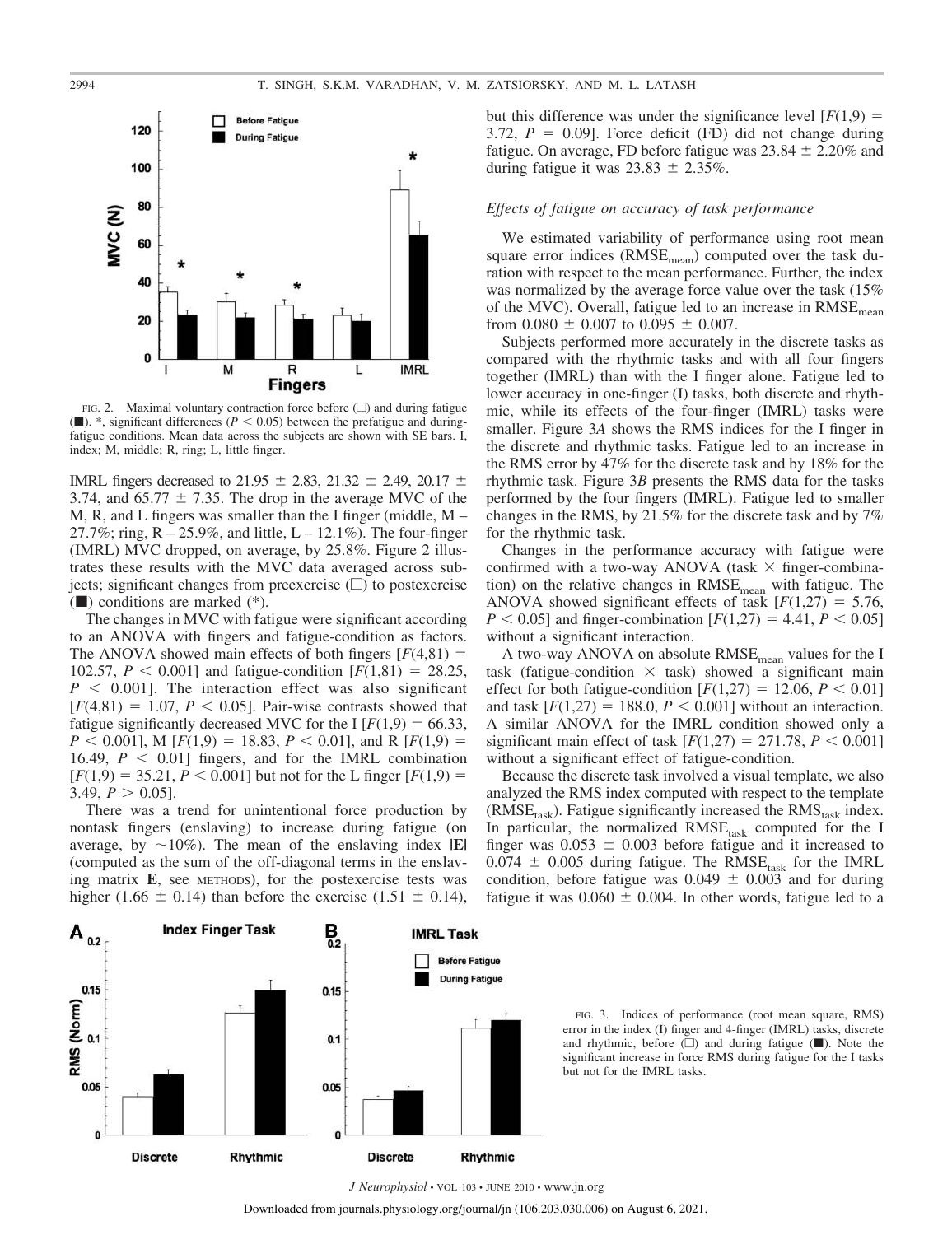

FIG. 2. Maximal voluntary contraction force before  $\Box$ ) and during fatigue  $(\blacksquare)$ . \*, significant differences ( $P \le 0.05$ ) between the prefatigue and duringfatigue conditions. Mean data across the subjects are shown with SE bars. I, index; M, middle; R, ring; L, little finger.

IMRL fingers decreased to 21.95  $\pm$  2.83, 21.32  $\pm$  2.49, 20.17  $\pm$ 3.74, and  $65.77 \pm 7.35$ . The drop in the average MVC of the M, R, and L fingers was smaller than the I finger (middle, M – 27.7%; ring,  $R - 25.9\%$ , and little,  $L - 12.1\%$ ). The four-finger (IMRL) MVC dropped, on average, by 25.8%. Figure 2 illustrates these results with the MVC data averaged across subjects; significant changes from preexercise  $(\square)$  to postexercise  $(\blacksquare)$  conditions are marked  $(*)$ .

The changes in MVC with fatigue were significant according to an ANOVA with fingers and fatigue-condition as factors. The ANOVA showed main effects of both fingers  $F(4,81) =$ 102.57,  $P < 0.001$ ] and fatigue-condition  $[F(1,81) = 28.25,$  $P \leq 0.001$ . The interaction effect was also significant  $[F(4,81) = 1.07, P < 0.05]$ . Pair-wise contrasts showed that fatigue significantly decreased MVC for the I  $[F(1,9) = 66.33]$ ,  $P < 0.001$ ], M [ $F(1,9) = 18.83$ ,  $P < 0.01$ ], and R [ $F(1,9) =$ 16.49,  $P \leq 0.01$ ] fingers, and for the IMRL combination  $[F(1,9) = 35.21, P \le 0.001]$  but not for the L finger  $[F(1,9) =$ 3.49,  $P > 0.05$ ].

There was a trend for unintentional force production by nontask fingers (enslaving) to increase during fatigue (on average, by  $\sim 10\%$ ). The mean of the enslaving index **|E|** (computed as the sum of the off-diagonal terms in the enslaving matrix **E**, see METHODS), for the postexercise tests was higher (1.66  $\pm$  0.14) than before the exercise (1.51  $\pm$  0.14),



#### *Effects of fatigue on accuracy of task performance*

We estimated variability of performance using root mean square error indices  $(RMSE_{mean})$  computed over the task duration with respect to the mean performance. Further, the index was normalized by the average force value over the task (15% of the MVC). Overall, fatigue led to an increase in  $RMSE_{mean}$ from  $0.080 \pm 0.007$  to  $0.095 \pm 0.007$ .

Subjects performed more accurately in the discrete tasks as compared with the rhythmic tasks and with all four fingers together (IMRL) than with the I finger alone. Fatigue led to lower accuracy in one-finger (I) tasks, both discrete and rhythmic, while its effects of the four-finger (IMRL) tasks were smaller. Figure 3*A* shows the RMS indices for the I finger in the discrete and rhythmic tasks. Fatigue led to an increase in the RMS error by 47% for the discrete task and by 18% for the rhythmic task. Figure 3*B* presents the RMS data for the tasks performed by the four fingers (IMRL). Fatigue led to smaller changes in the RMS, by 21.5% for the discrete task and by 7% for the rhythmic task.

Changes in the performance accuracy with fatigue were confirmed with a two-way ANOVA (task  $\times$  finger-combination) on the relative changes in  $RMSE_{mean}$  with fatigue. The ANOVA showed significant effects of task  $[F(1,27) = 5.76]$ ,  $P < 0.05$ ] and finger-combination  $[F(1,27) = 4.41, P < 0.05]$ without a significant interaction.

A two-way ANOVA on absolute RMSE<sub>mean</sub> values for the I task (fatigue-condition  $\times$  task) showed a significant main effect for both fatigue-condition  $[F(1,27) = 12.06, P \le 0.01]$ and task  $[F(1,27) = 188.0, P \le 0.001]$  without an interaction. A similar ANOVA for the IMRL condition showed only a significant main effect of task  $[F(1,27) = 271.78, P \le 0.001]$ without a significant effect of fatigue-condition.

Because the discrete task involved a visual template, we also analyzed the RMS index computed with respect to the template  $(RMSE<sub>task</sub>)$ . Fatigue significantly increased the  $RMS<sub>task</sub>$  index. In particular, the normalized  $RMSE<sub>task</sub>$  computed for the I finger was  $0.053 \pm 0.003$  before fatigue and it increased to  $0.074 \pm 0.005$  during fatigue. The RMSE<sub>task</sub> for the IMRL condition, before fatigue was  $0.049 \pm 0.003$  and for during fatigue it was  $0.060 \pm 0.004$ . In other words, fatigue led to a



FIG. 3. Indices of performance (root mean square, RMS) error in the index (I) finger and 4-finger (IMRL) tasks, discrete and rhythmic, before  $(\square)$  and during fatigue  $(\blacksquare)$ . Note the significant increase in force RMS during fatigue for the I tasks but not for the IMRL tasks.

*J Neurophysiol* • VOL 103 • JUNE 2010 • www.jn.org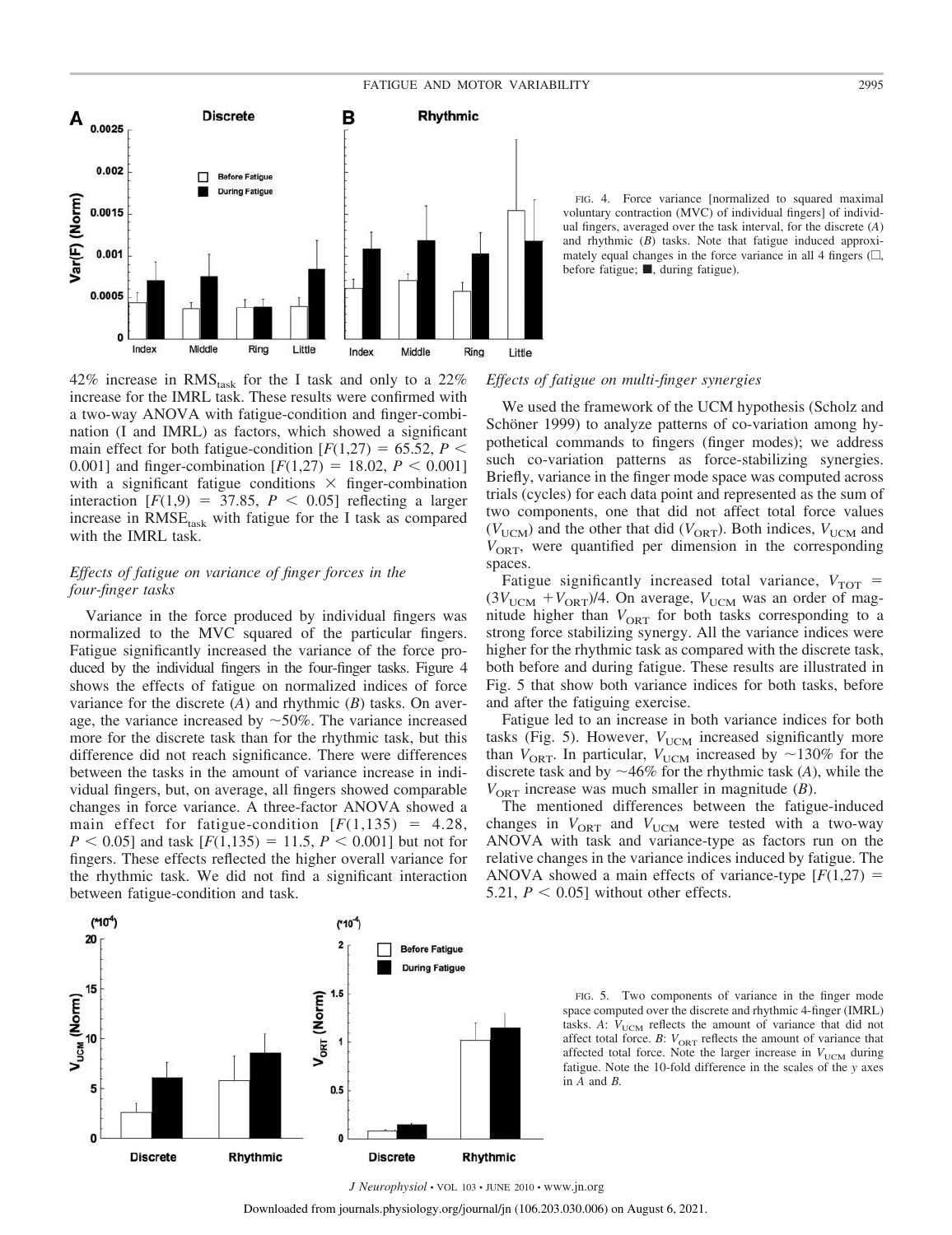

FIG. 4. Force variance [normalized to squared maximal voluntary contraction (MVC) of individual fingers] of individual fingers, averaged over the task interval, for the discrete (*A*) and rhythmic (*B*) tasks. Note that fatigue induced approximately equal changes in the force variance in all 4 fingers  $(\Box,$ before fatigue;  $\blacksquare$ , during fatigue).

# 42% increase in  $RMS_{task}$  for the I task and only to a 22% increase for the IMRL task. These results were confirmed with a two-way ANOVA with fatigue-condition and finger-combination (I and IMRL) as factors, which showed a significant main effect for both fatigue-condition  $[F(1,27) = 65.52, P \le$ 0.001] and finger-combination  $[F(1,27) = 18.02, P < 0.001]$ with a significant fatigue conditions  $\times$  finger-combination interaction  $[F(1,9) = 37.85, P < 0.05]$  reflecting a larger increase in  $RMSE<sub>task</sub>$  with fatigue for the I task as compared with the IMRL task.

# *Effects of fatigue on variance of finger forces in the four-finger tasks*

Variance in the force produced by individual fingers was normalized to the MVC squared of the particular fingers. Fatigue significantly increased the variance of the force produced by the individual fingers in the four-finger tasks. Figure 4 shows the effects of fatigue on normalized indices of force variance for the discrete (*A*) and rhythmic (*B*) tasks. On average, the variance increased by  $\sim$  50%. The variance increased more for the discrete task than for the rhythmic task, but this difference did not reach significance. There were differences between the tasks in the amount of variance increase in individual fingers, but, on average, all fingers showed comparable changes in force variance. A three-factor ANOVA showed a main effect for fatigue-condition  $[F(1,135) = 4.28]$ ,  $P < 0.05$ ] and task  $[F(1,135) = 11.5, P < 0.001]$  but not for fingers. These effects reflected the higher overall variance for the rhythmic task. We did not find a significant interaction between fatigue-condition and task.

# *Effects of fatigue on multi-finger synergies*

We used the framework of the UCM hypothesis (Scholz and Schöner 1999) to analyze patterns of co-variation among hypothetical commands to fingers (finger modes); we address such co-variation patterns as force-stabilizing synergies. Briefly, variance in the finger mode space was computed across trials (cycles) for each data point and represented as the sum of two components, one that did not affect total force values  $(V_{UCM})$  and the other that did  $(V_{ORT})$ . Both indices,  $V_{UCM}$  and  $V_{\text{ORT}}$ , were quantified per dimension in the corresponding spaces.

Fatigue significantly increased total variance,  $V_{\text{TOT}}$  =  $(3V_{UCM} + V_{ORT})/4$ . On average,  $V_{UCM}$  was an order of magnitude higher than  $V_{\text{ORT}}$  for both tasks corresponding to a strong force stabilizing synergy. All the variance indices were higher for the rhythmic task as compared with the discrete task, both before and during fatigue. These results are illustrated in Fig. 5 that show both variance indices for both tasks, before and after the fatiguing exercise.

Fatigue led to an increase in both variance indices for both tasks (Fig. 5). However,  $V_{UCM}$  increased significantly more than  $V_{\text{ORT}}$ . In particular,  $V_{\text{UCM}}$  increased by  $\sim$ 130% for the discrete task and by  $\sim$  46% for the rhythmic task (A), while the  $V_{\text{ORT}}$  increase was much smaller in magnitude (*B*).

The mentioned differences between the fatigue-induced changes in  $V_{\text{ORT}}$  and  $V_{\text{UCM}}$  were tested with a two-way ANOVA with task and variance-type as factors run on the relative changes in the variance indices induced by fatigue. The ANOVA showed a main effects of variance-type  $[F(1,27) =$ 5.21,  $P < 0.05$ ] without other effects.



FIG. 5. Two components of variance in the finger mode space computed over the discrete and rhythmic 4-finger (IMRL) tasks.  $A: V_{UCM}$  reflects the amount of variance that did not affect total force.  $B: V_{\text{ORT}}$  reflects the amount of variance that affected total force. Note the larger increase in  $V_{\text{UCM}}$  during fatigue. Note the 10-fold difference in the scales of the *y* axes in *A* and *B.*

*J Neurophysiol* • VOL 103 • JUNE 2010 • www.jn.org

Downloaded from journals.physiology.org/journal/jn (106.203.030.006) on August 6, 2021.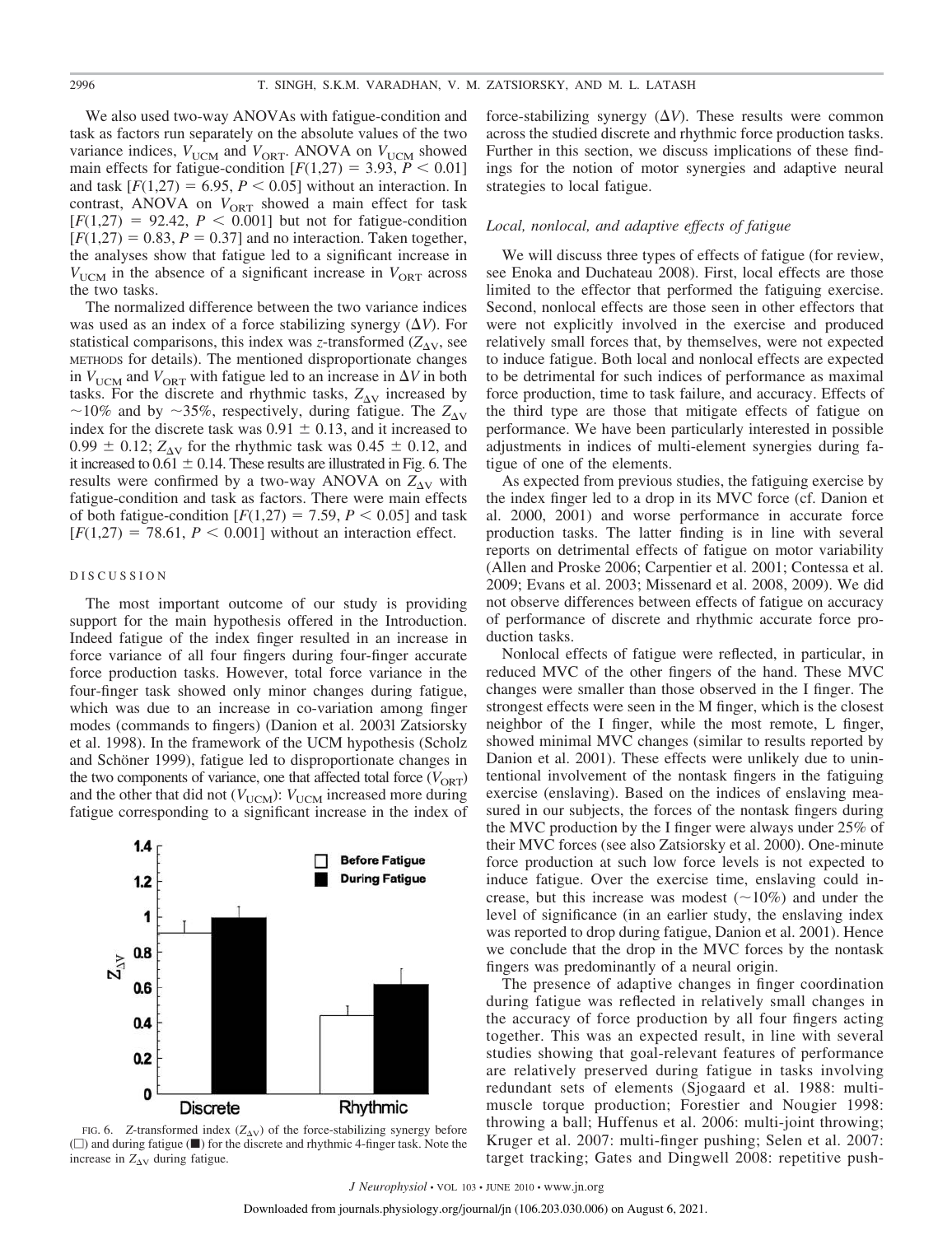We also used two-way ANOVAs with fatigue-condition and task as factors run separately on the absolute values of the two variance indices,  $V_{UCM}$  and  $V_{ORT}$ . ANOVA on  $V_{UCM}$  showed main effects for fatigue-condition  $[F(1,27) = 3.93, P \le 0.01]$ and task  $[F(1,27) = 6.95, P \le 0.05]$  without an interaction. In contrast, ANOVA on  $V_{\text{ORT}}$  showed a main effect for task  $[F(1,27) = 92.42, P < 0.001]$  but not for fatigue-condition  $[F(1,27) = 0.83, P = 0.37]$  and no interaction. Taken together, the analyses show that fatigue led to a significant increase in  $V_{\text{UCM}}$  in the absence of a significant increase in  $V_{\text{ORT}}$  across the two tasks.

The normalized difference between the two variance indices was used as an index of a force stabilizing synergy  $(\Delta V)$ . For statistical comparisons, this index was *z*-transformed  $(Z_{\Delta V}, \text{see})$ METHODS for details). The mentioned disproportionate changes in  $V_{\text{UCM}}$  and  $V_{\text{ORT}}$  with fatigue led to an increase in  $\Delta V$  in both tasks. For the discrete and rhythmic tasks,  $Z_{\Delta V}$  increased by  $\sim$ 10% and by  $\sim$ 35%, respectively, during fatigue. The  $Z_{\Delta V}$ index for the discrete task was  $0.91 \pm 0.13$ , and it increased to  $0.99 \pm 0.12$ ;  $Z_{\text{AV}}$  for the rhythmic task was  $0.45 \pm 0.12$ , and it increased to  $0.61 \pm 0.14$ . These results are illustrated in Fig. 6. The results were confirmed by a two-way ANOVA on  $Z_{\Delta V}$  with fatigue-condition and task as factors. There were main effects of both fatigue-condition  $[F(1,27) = 7.59, P \lt 0.05]$  and task  $[F(1,27) = 78.61, P \le 0.001]$  without an interaction effect.

# DISCUSSION

The most important outcome of our study is providing support for the main hypothesis offered in the Introduction. Indeed fatigue of the index finger resulted in an increase in force variance of all four fingers during four-finger accurate force production tasks. However, total force variance in the four-finger task showed only minor changes during fatigue, which was due to an increase in co-variation among finger modes (commands to fingers) (Danion et al. 2003l Zatsiorsky et al. 1998). In the framework of the UCM hypothesis (Scholz and Schöner 1999), fatigue led to disproportionate changes in the two components of variance, one that affected total force  $(V_{\text{ORT}})$ and the other that did not  $(V_{UCM})$ :  $V_{UCM}$  increased more during fatigue corresponding to a significant increase in the index of



FIG. 6. *Z*-transformed index  $(Z_{\Delta V})$  of the force-stabilizing synergy before  $(\square)$  and during fatigue ( $\blacksquare$ ) for the discrete and rhythmic 4-finger task. Note the increase in  $Z_{\Delta V}$  during fatigue.

force-stabilizing synergy  $(\Delta V)$ . These results were common across the studied discrete and rhythmic force production tasks. Further in this section, we discuss implications of these findings for the notion of motor synergies and adaptive neural strategies to local fatigue.

#### *Local, nonlocal, and adaptive effects of fatigue*

We will discuss three types of effects of fatigue (for review, see Enoka and Duchateau 2008). First, local effects are those limited to the effector that performed the fatiguing exercise. Second, nonlocal effects are those seen in other effectors that were not explicitly involved in the exercise and produced relatively small forces that, by themselves, were not expected to induce fatigue. Both local and nonlocal effects are expected to be detrimental for such indices of performance as maximal force production, time to task failure, and accuracy. Effects of the third type are those that mitigate effects of fatigue on performance. We have been particularly interested in possible adjustments in indices of multi-element synergies during fatigue of one of the elements.

As expected from previous studies, the fatiguing exercise by the index finger led to a drop in its MVC force (cf. Danion et al. 2000, 2001) and worse performance in accurate force production tasks. The latter finding is in line with several reports on detrimental effects of fatigue on motor variability (Allen and Proske 2006; Carpentier et al. 2001; Contessa et al. 2009; Evans et al. 2003; Missenard et al. 2008, 2009). We did not observe differences between effects of fatigue on accuracy of performance of discrete and rhythmic accurate force production tasks.

Nonlocal effects of fatigue were reflected, in particular, in reduced MVC of the other fingers of the hand. These MVC changes were smaller than those observed in the I finger. The strongest effects were seen in the M finger, which is the closest neighbor of the I finger, while the most remote, L finger, showed minimal MVC changes (similar to results reported by Danion et al. 2001). These effects were unlikely due to unintentional involvement of the nontask fingers in the fatiguing exercise (enslaving). Based on the indices of enslaving measured in our subjects, the forces of the nontask fingers during the MVC production by the I finger were always under 25% of their MVC forces (see also Zatsiorsky et al. 2000). One-minute force production at such low force levels is not expected to induce fatigue. Over the exercise time, enslaving could increase, but this increase was modest  $(\sim 10\%)$  and under the level of significance (in an earlier study, the enslaving index was reported to drop during fatigue, Danion et al. 2001). Hence we conclude that the drop in the MVC forces by the nontask fingers was predominantly of a neural origin.

The presence of adaptive changes in finger coordination during fatigue was reflected in relatively small changes in the accuracy of force production by all four fingers acting together. This was an expected result, in line with several studies showing that goal-relevant features of performance are relatively preserved during fatigue in tasks involving redundant sets of elements (Sjogaard et al. 1988: multimuscle torque production; Forestier and Nougier 1998: throwing a ball; Huffenus et al. 2006: multi-joint throwing; Kruger et al. 2007: multi-finger pushing; Selen et al. 2007: target tracking; Gates and Dingwell 2008: repetitive push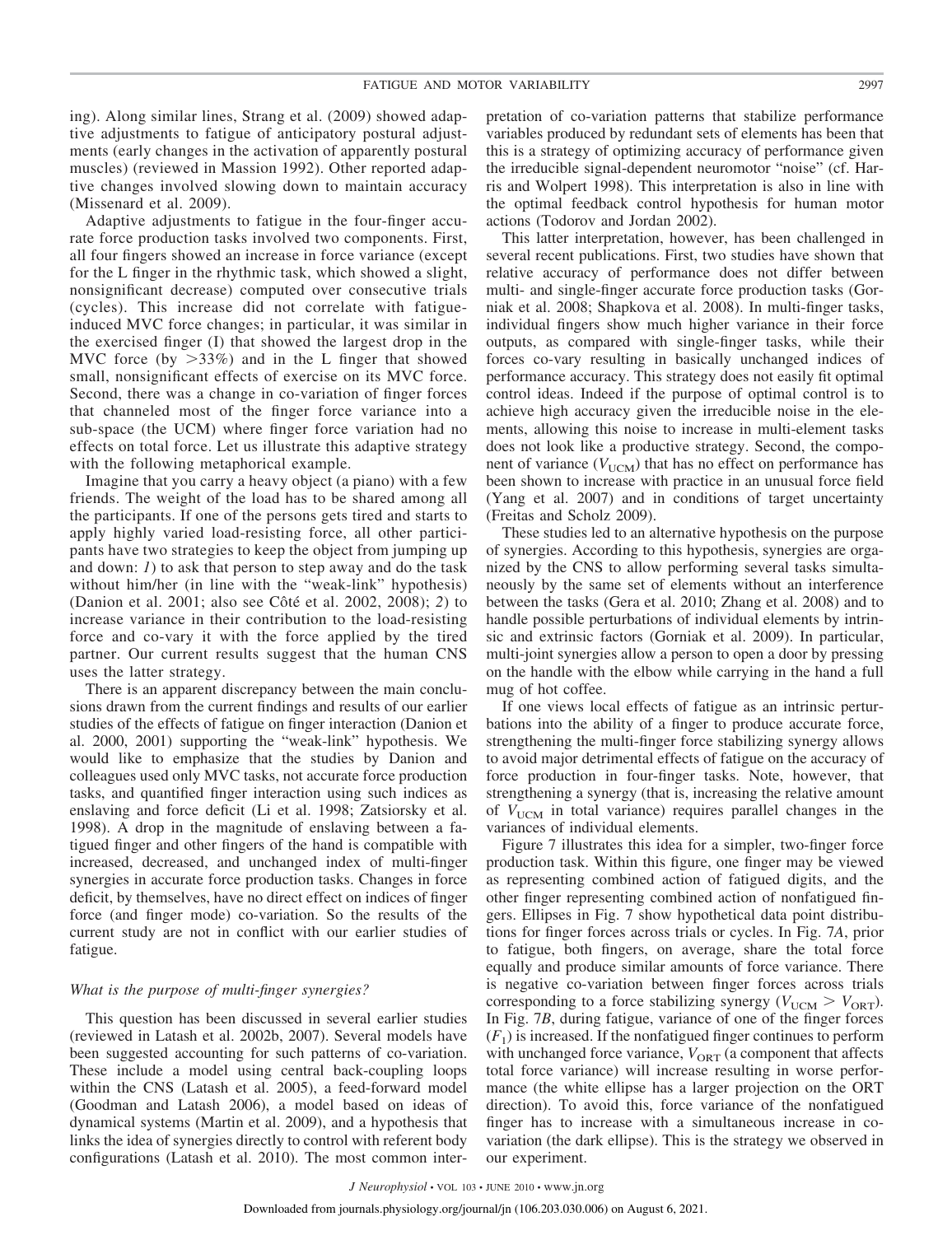ing). Along similar lines, Strang et al. (2009) showed adaptive adjustments to fatigue of anticipatory postural adjustments (early changes in the activation of apparently postural muscles) (reviewed in Massion 1992). Other reported adaptive changes involved slowing down to maintain accuracy (Missenard et al. 2009).

Adaptive adjustments to fatigue in the four-finger accurate force production tasks involved two components. First, all four fingers showed an increase in force variance (except for the L finger in the rhythmic task, which showed a slight, nonsignificant decrease) computed over consecutive trials (cycles). This increase did not correlate with fatigueinduced MVC force changes; in particular, it was similar in the exercised finger (I) that showed the largest drop in the MVC force (by  $>33\%$ ) and in the L finger that showed small, nonsignificant effects of exercise on its MVC force. Second, there was a change in co-variation of finger forces that channeled most of the finger force variance into a sub-space (the UCM) where finger force variation had no effects on total force. Let us illustrate this adaptive strategy with the following metaphorical example.

Imagine that you carry a heavy object (a piano) with a few friends. The weight of the load has to be shared among all the participants. If one of the persons gets tired and starts to apply highly varied load-resisting force, all other participants have two strategies to keep the object from jumping up and down: *1*) to ask that person to step away and do the task without him/her (in line with the "weak-link" hypothesis) (Danion et al. 2001; also see Côté et al. 2002, 2008); *2*) to increase variance in their contribution to the load-resisting force and co-vary it with the force applied by the tired partner. Our current results suggest that the human CNS uses the latter strategy.

There is an apparent discrepancy between the main conclusions drawn from the current findings and results of our earlier studies of the effects of fatigue on finger interaction (Danion et al. 2000, 2001) supporting the "weak-link" hypothesis. We would like to emphasize that the studies by Danion and colleagues used only MVC tasks, not accurate force production tasks, and quantified finger interaction using such indices as enslaving and force deficit (Li et al. 1998; Zatsiorsky et al. 1998). A drop in the magnitude of enslaving between a fatigued finger and other fingers of the hand is compatible with increased, decreased, and unchanged index of multi-finger synergies in accurate force production tasks. Changes in force deficit, by themselves, have no direct effect on indices of finger force (and finger mode) co-variation. So the results of the current study are not in conflict with our earlier studies of fatigue.

# *What is the purpose of multi-finger synergies?*

This question has been discussed in several earlier studies (reviewed in Latash et al. 2002b, 2007). Several models have been suggested accounting for such patterns of co-variation. These include a model using central back-coupling loops within the CNS (Latash et al. 2005), a feed-forward model (Goodman and Latash 2006), a model based on ideas of dynamical systems (Martin et al. 2009), and a hypothesis that links the idea of synergies directly to control with referent body configurations (Latash et al. 2010). The most common interpretation of co-variation patterns that stabilize performance variables produced by redundant sets of elements has been that this is a strategy of optimizing accuracy of performance given the irreducible signal-dependent neuromotor "noise" (cf. Harris and Wolpert 1998). This interpretation is also in line with the optimal feedback control hypothesis for human motor actions (Todorov and Jordan 2002).

This latter interpretation, however, has been challenged in several recent publications. First, two studies have shown that relative accuracy of performance does not differ between multi- and single-finger accurate force production tasks (Gorniak et al. 2008; Shapkova et al. 2008). In multi-finger tasks, individual fingers show much higher variance in their force outputs, as compared with single-finger tasks, while their forces co-vary resulting in basically unchanged indices of performance accuracy. This strategy does not easily fit optimal control ideas. Indeed if the purpose of optimal control is to achieve high accuracy given the irreducible noise in the elements, allowing this noise to increase in multi-element tasks does not look like a productive strategy. Second, the component of variance  $(V_{\text{UCM}})$  that has no effect on performance has been shown to increase with practice in an unusual force field (Yang et al. 2007) and in conditions of target uncertainty (Freitas and Scholz 2009).

These studies led to an alternative hypothesis on the purpose of synergies. According to this hypothesis, synergies are organized by the CNS to allow performing several tasks simultaneously by the same set of elements without an interference between the tasks (Gera et al. 2010; Zhang et al. 2008) and to handle possible perturbations of individual elements by intrinsic and extrinsic factors (Gorniak et al. 2009). In particular, multi-joint synergies allow a person to open a door by pressing on the handle with the elbow while carrying in the hand a full mug of hot coffee.

If one views local effects of fatigue as an intrinsic perturbations into the ability of a finger to produce accurate force, strengthening the multi-finger force stabilizing synergy allows to avoid major detrimental effects of fatigue on the accuracy of force production in four-finger tasks. Note, however, that strengthening a synergy (that is, increasing the relative amount of  $V_{\text{UCM}}$  in total variance) requires parallel changes in the variances of individual elements.

Figure 7 illustrates this idea for a simpler, two-finger force production task. Within this figure, one finger may be viewed as representing combined action of fatigued digits, and the other finger representing combined action of nonfatigued fingers. Ellipses in Fig. 7 show hypothetical data point distributions for finger forces across trials or cycles. In Fig. 7*A*, prior to fatigue, both fingers, on average, share the total force equally and produce similar amounts of force variance. There is negative co-variation between finger forces across trials corresponding to a force stabilizing synergy ( $V_{UCM} > V_{ORT}$ ). In Fig. 7*B*, during fatigue, variance of one of the finger forces  $(F_1)$  is increased. If the nonfatigued finger continues to perform with unchanged force variance,  $V_{\text{ORT}}$  (a component that affects total force variance) will increase resulting in worse performance (the white ellipse has a larger projection on the ORT direction). To avoid this, force variance of the nonfatigued finger has to increase with a simultaneous increase in covariation (the dark ellipse). This is the strategy we observed in our experiment.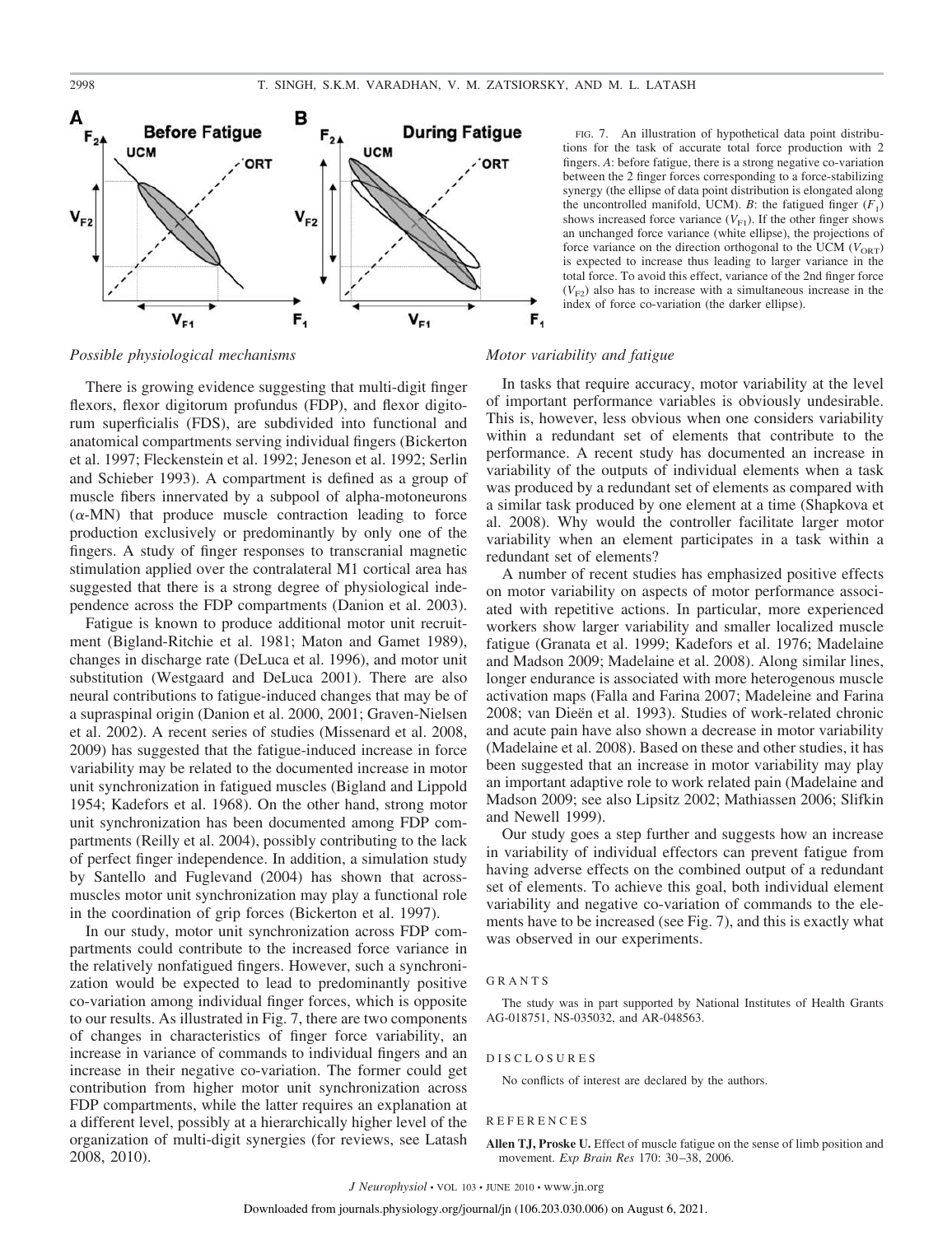

*Possible physiological mechanisms*

There is growing evidence suggesting that multi-digit finger flexors, flexor digitorum profundus (FDP), and flexor digitorum superficialis (FDS), are subdivided into functional and anatomical compartments serving individual fingers (Bickerton et al. 1997; Fleckenstein et al. 1992; Jeneson et al. 1992; Serlin and Schieber 1993). A compartment is defined as a group of muscle fibers innervated by a subpool of alpha-motoneurons  $(\alpha$ -MN) that produce muscle contraction leading to force production exclusively or predominantly by only one of the fingers. A study of finger responses to transcranial magnetic stimulation applied over the contralateral M1 cortical area has suggested that there is a strong degree of physiological independence across the FDP compartments (Danion et al. 2003).

Fatigue is known to produce additional motor unit recruitment (Bigland-Ritchie et al. 1981; Maton and Gamet 1989), changes in discharge rate (DeLuca et al. 1996), and motor unit substitution (Westgaard and DeLuca 2001). There are also neural contributions to fatigue-induced changes that may be of a supraspinal origin (Danion et al. 2000, 2001; Graven-Nielsen et al. 2002). A recent series of studies (Missenard et al. 2008, 2009) has suggested that the fatigue-induced increase in force variability may be related to the documented increase in motor unit synchronization in fatigued muscles (Bigland and Lippold 1954; Kadefors et al. 1968). On the other hand, strong motor unit synchronization has been documented among FDP compartments (Reilly et al. 2004), possibly contributing to the lack of perfect finger independence. In addition, a simulation study by Santello and Fuglevand (2004) has shown that acrossmuscles motor unit synchronization may play a functional role in the coordination of grip forces (Bickerton et al. 1997).

In our study, motor unit synchronization across FDP compartments could contribute to the increased force variance in the relatively nonfatigued fingers. However, such a synchronization would be expected to lead to predominantly positive co-variation among individual finger forces, which is opposite to our results. As illustrated in Fig. 7, there are two components of changes in characteristics of finger force variability, an increase in variance of commands to individual fingers and an increase in their negative co-variation. The former could get contribution from higher motor unit synchronization across FDP compartments, while the latter requires an explanation at a different level, possibly at a hierarchically higher level of the organization of multi-digit synergies (for reviews, see Latash 2008, 2010).

FIG. 7. An illustration of hypothetical data point distributions for the task of accurate total force production with 2 fingers. *A*: before fatigue, there is a strong negative co-variation between the 2 finger forces corresponding to a force-stabilizing synergy (the ellipse of data point distribution is elongated along the uncontrolled manifold, UCM). *B*: the fatigued finger  $(F_1)$ shows increased force variance  $(V_{F1})$ . If the other finger shows an unchanged force variance (white ellipse), the projections of force variance on the direction orthogonal to the UCM  $(V_{\text{ORT}})$ is expected to increase thus leading to larger variance in the total force. To avoid this effect, variance of the 2nd finger force  $(V_{F2})$  also has to increase with a simultaneous increase in the index of force co-variation (the darker ellipse).

# *Motor variability and fatigue*

In tasks that require accuracy, motor variability at the level of important performance variables is obviously undesirable. This is, however, less obvious when one considers variability within a redundant set of elements that contribute to the performance. A recent study has documented an increase in variability of the outputs of individual elements when a task was produced by a redundant set of elements as compared with a similar task produced by one element at a time (Shapkova et al. 2008). Why would the controller facilitate larger motor variability when an element participates in a task within a redundant set of elements?

A number of recent studies has emphasized positive effects on motor variability on aspects of motor performance associated with repetitive actions. In particular, more experienced workers show larger variability and smaller localized muscle fatigue (Granata et al. 1999; Kadefors et al. 1976; Madelaine and Madson 2009; Madelaine et al. 2008). Along similar lines, longer endurance is associated with more heterogenous muscle activation maps (Falla and Farina 2007; Madeleine and Farina 2008; van Dieën et al. 1993). Studies of work-related chronic and acute pain have also shown a decrease in motor variability (Madelaine et al. 2008). Based on these and other studies, it has been suggested that an increase in motor variability may play an important adaptive role to work related pain (Madelaine and Madson 2009; see also Lipsitz 2002; Mathiassen 2006; Slifkin and Newell 1999).

Our study goes a step further and suggests how an increase in variability of individual effectors can prevent fatigue from having adverse effects on the combined output of a redundant set of elements. To achieve this goal, both individual element variability and negative co-variation of commands to the elements have to be increased (see Fig. 7), and this is exactly what was observed in our experiments.

# GRANTS

The study was in part supported by National Institutes of Health Grants AG-018751, NS-035032, and AR-048563.

#### DISCLOSURES

No conflicts of interest are declared by the authors.

#### REFERENCES

**Allen TJ, Proske U.** Effect of muscle fatigue on the sense of limb position and movement. *Exp Brain Res* 170: 30–38, 2006.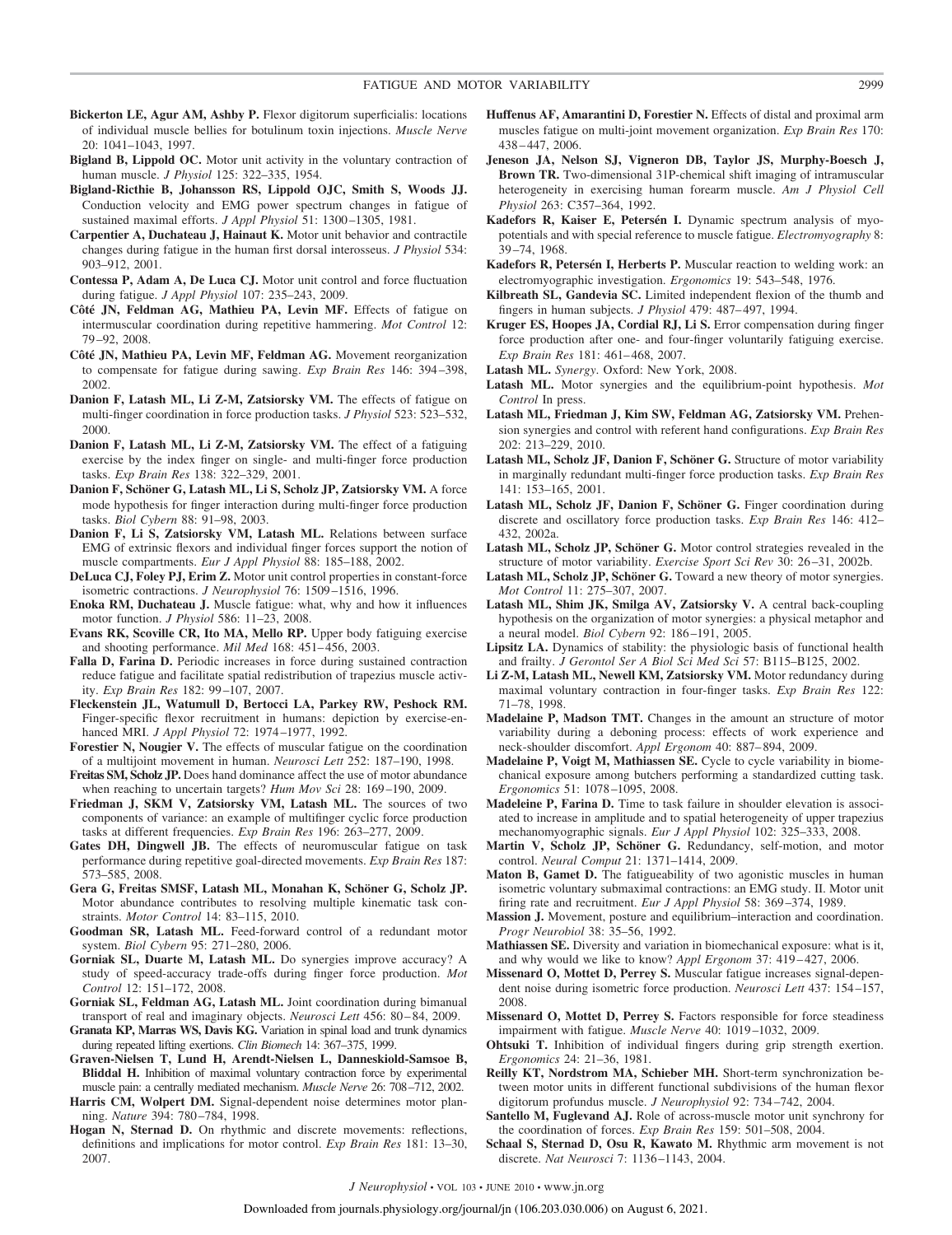- **Bickerton LE, Agur AM, Ashby P.** Flexor digitorum superficialis: locations of individual muscle bellies for botulinum toxin injections. *Muscle Nerve* 20: 1041–1043, 1997.
- **Bigland B, Lippold OC.** Motor unit activity in the voluntary contraction of human muscle. *J Physiol* 125: 322–335, 1954.
- **Bigland-Ricthie B, Johansson RS, Lippold OJC, Smith S, Woods JJ.** Conduction velocity and EMG power spectrum changes in fatigue of sustained maximal efforts. *J Appl Physiol* 51: 1300–1305, 1981.
- **Carpentier A, Duchateau J, Hainaut K.** Motor unit behavior and contractile changes during fatigue in the human first dorsal interosseus. *J Physiol* 534: 903–912, 2001.
- **Contessa P, Adam A, De Luca CJ.** Motor unit control and force fluctuation during fatigue. *J Appl Physiol* 107: 235–243, 2009.
- **Côté JN, Feldman AG, Mathieu PA, Levin MF.** Effects of fatigue on intermuscular coordination during repetitive hammering. *Mot Control* 12: 79–92, 2008.
- **Côté JN, Mathieu PA, Levin MF, Feldman AG.** Movement reorganization to compensate for fatigue during sawing. *Exp Brain Res* 146: 394–398, 2002.
- **Danion F, Latash ML, Li Z-M, Zatsiorsky VM.** The effects of fatigue on multi-finger coordination in force production tasks. *J Physiol* 523: 523–532, 2000.
- **Danion F, Latash ML, Li Z-M, Zatsiorsky VM.** The effect of a fatiguing exercise by the index finger on single- and multi-finger force production tasks. *Exp Brain Res* 138: 322–329, 2001.
- **Danion F, Schöner G, Latash ML, Li S, Scholz JP, Zatsiorsky VM.** A force mode hypothesis for finger interaction during multi-finger force production tasks. *Biol Cybern* 88: 91–98, 2003.
- **Danion F, Li S, Zatsiorsky VM, Latash ML.** Relations between surface EMG of extrinsic flexors and individual finger forces support the notion of muscle compartments. *Eur J Appl Physiol* 88: 185–188, 2002.
- **DeLuca CJ, Foley PJ, Erim Z.** Motor unit control properties in constant-force isometric contractions. *J Neurophysiol* 76: 1509–1516, 1996.
- **Enoka RM, Duchateau J.** Muscle fatigue: what, why and how it influences motor function. *J Physiol* 586: 11–23, 2008.
- **Evans RK, Scoville CR, Ito MA, Mello RP.** Upper body fatiguing exercise and shooting performance. *Mil Med* 168: 451–456, 2003.
- **Falla D, Farina D.** Periodic increases in force during sustained contraction reduce fatigue and facilitate spatial redistribution of trapezius muscle activity. *Exp Brain Res* 182: 99–107, 2007.
- **Fleckenstein JL, Watumull D, Bertocci LA, Parkey RW, Peshock RM.** Finger-specific flexor recruitment in humans: depiction by exercise-enhanced MRI. *J Appl Physiol* 72: 1974–1977, 1992.
- **Forestier N, Nougier V.** The effects of muscular fatigue on the coordination of a multijoint movement in human. *Neurosci Lett* 252: 187–190, 1998.
- **Freitas SM, Scholz JP.** Does hand dominance affect the use of motor abundance when reaching to uncertain targets? *Hum Mov Sci* 28: 169–190, 2009.
- **Friedman J, SKM V, Zatsiorsky VM, Latash ML.** The sources of two components of variance: an example of multifinger cyclic force production tasks at different frequencies. *Exp Brain Res* 196: 263–277, 2009.
- **Gates DH, Dingwell JB.** The effects of neuromuscular fatigue on task performance during repetitive goal-directed movements. *Exp Brain Res* 187: 573–585, 2008.
- **Gera G, Freitas SMSF, Latash ML, Monahan K, Schöner G, Scholz JP.** Motor abundance contributes to resolving multiple kinematic task constraints. *Motor Control* 14: 83–115, 2010.
- **Goodman SR, Latash ML.** Feed-forward control of a redundant motor system. *Biol Cybern* 95: 271–280, 2006.
- **Gorniak SL, Duarte M, Latash ML.** Do synergies improve accuracy? A study of speed-accuracy trade-offs during finger force production. *Mot Control* 12: 151–172, 2008.
- **Gorniak SL, Feldman AG, Latash ML.** Joint coordination during bimanual transport of real and imaginary objects. *Neurosci Lett* 456: 80–84, 2009.
- **Granata KP, Marras WS, Davis KG.** Variation in spinal load and trunk dynamics during repeated lifting exertions. *Clin Biomech* 14: 367–375, 1999.
- **Graven-Nielsen T, Lund H, Arendt-Nielsen L, Danneskiold-Samsoe B, Bliddal H.** Inhibition of maximal voluntary contraction force by experimental muscle pain: a centrally mediated mechanism. *Muscle Nerve* 26: 708–712, 2002.
- Harris CM, Wolpert DM. Signal-dependent noise determines motor planning. *Nature* 394: 780–784, 1998.
- **Hogan N, Sternad D.** On rhythmic and discrete movements: reflections, definitions and implications for motor control. *Exp Brain Res* 181: 13–30, 2007.
- **Huffenus AF, Amarantini D, Forestier N.** Effects of distal and proximal arm muscles fatigue on multi-joint movement organization. *Exp Brain Res* 170: 438–447, 2006.
- **Jeneson JA, Nelson SJ, Vigneron DB, Taylor JS, Murphy-Boesch J, Brown TR.** Two-dimensional 31P-chemical shift imaging of intramuscular heterogeneity in exercising human forearm muscle. *Am J Physiol Cell Physiol* 263: C357–364, 1992.
- **Kadefors R, Kaiser E, Petersén I.** Dynamic spectrum analysis of myopotentials and with special reference to muscle fatigue. *Electromyography* 8: 39–74, 1968.
- **Kadefors R, Petersén I, Herberts P.** Muscular reaction to welding work: an electromyographic investigation. *Ergonomics* 19: 543–548, 1976.
- **Kilbreath SL, Gandevia SC.** Limited independent flexion of the thumb and fingers in human subjects. *J Physiol* 479: 487–497, 1994.
- **Kruger ES, Hoopes JA, Cordial RJ, Li S.** Error compensation during finger force production after one- and four-finger voluntarily fatiguing exercise. *Exp Brain Res* 181: 461–468, 2007.
- **Latash ML.** *Synergy*. Oxford: New York, 2008.
- **Latash ML.** Motor synergies and the equilibrium-point hypothesis. *Mot Control* In press.
- **Latash ML, Friedman J, Kim SW, Feldman AG, Zatsiorsky VM.** Prehension synergies and control with referent hand configurations. *Exp Brain Res* 202: 213–229, 2010.
- **Latash ML, Scholz JF, Danion F, Schöner G.** Structure of motor variability in marginally redundant multi-finger force production tasks. *Exp Brain Res* 141: 153–165, 2001.
- **Latash ML, Scholz JF, Danion F, Schöner G.** Finger coordination during discrete and oscillatory force production tasks. *Exp Brain Res* 146: 412– 432, 2002a.
- **Latash ML, Scholz JP, Schöner G.** Motor control strategies revealed in the structure of motor variability. *Exercise Sport Sci Rev* 30: 26–31, 2002b.
- **Latash ML, Scholz JP, Schöner G.** Toward a new theory of motor synergies. *Mot Control* 11: 275–307, 2007.
- **Latash ML, Shim JK, Smilga AV, Zatsiorsky V.** A central back-coupling hypothesis on the organization of motor synergies: a physical metaphor and a neural model. *Biol Cybern* 92: 186–191, 2005.
- **Lipsitz LA.** Dynamics of stability: the physiologic basis of functional health and frailty. *J Gerontol Ser A Biol Sci Med Sci* 57: B115–B125, 2002.
- **Li Z-M, Latash ML, Newell KM, Zatsiorsky VM.** Motor redundancy during maximal voluntary contraction in four-finger tasks. *Exp Brain Res* 122: 71–78, 1998.
- **Madelaine P, Madson TMT.** Changes in the amount an structure of motor variability during a deboning process: effects of work experience and neck-shoulder discomfort. *Appl Ergonom* 40: 887–894, 2009.
- **Madelaine P, Voigt M, Mathiassen SE.** Cycle to cycle variability in biomechanical exposure among butchers performing a standardized cutting task. *Ergonomics* 51: 1078–1095, 2008.
- **Madeleine P, Farina D.** Time to task failure in shoulder elevation is associated to increase in amplitude and to spatial heterogeneity of upper trapezius mechanomyographic signals. *Eur J Appl Physiol* 102: 325–333, 2008.
- **Martin V, Scholz JP, Schöner G.** Redundancy, self-motion, and motor control. *Neural Comput* 21: 1371–1414, 2009.
- **Maton B, Gamet D.** The fatigueability of two agonistic muscles in human isometric voluntary submaximal contractions: an EMG study. II. Motor unit firing rate and recruitment. *Eur J Appl Physiol* 58: 369–374, 1989.
- **Massion J.** Movement, posture and equilibrium–interaction and coordination. *Progr Neurobiol* 38: 35–56, 1992.
- **Mathiassen SE.** Diversity and variation in biomechanical exposure: what is it, and why would we like to know? *Appl Ergonom* 37: 419–427, 2006.
- **Missenard O, Mottet D, Perrey S.** Muscular fatigue increases signal-dependent noise during isometric force production. *Neurosci Lett* 437: 154–157, 2008.
- **Missenard O, Mottet D, Perrey S.** Factors responsible for force steadiness impairment with fatigue. *Muscle Nerve* 40: 1019–1032, 2009.
- **Ohtsuki T.** Inhibition of individual fingers during grip strength exertion. *Ergonomics* 24: 21–36, 1981.
- **Reilly KT, Nordstrom MA, Schieber MH.** Short-term synchronization between motor units in different functional subdivisions of the human flexor digitorum profundus muscle. *J Neurophysiol* 92: 734–742, 2004.
- **Santello M, Fuglevand AJ.** Role of across-muscle motor unit synchrony for the coordination of forces. *Exp Brain Res* 159: 501–508, 2004.
- **Schaal S, Sternad D, Osu R, Kawato M.** Rhythmic arm movement is not discrete. *Nat Neurosci* 7: 1136–1143, 2004.